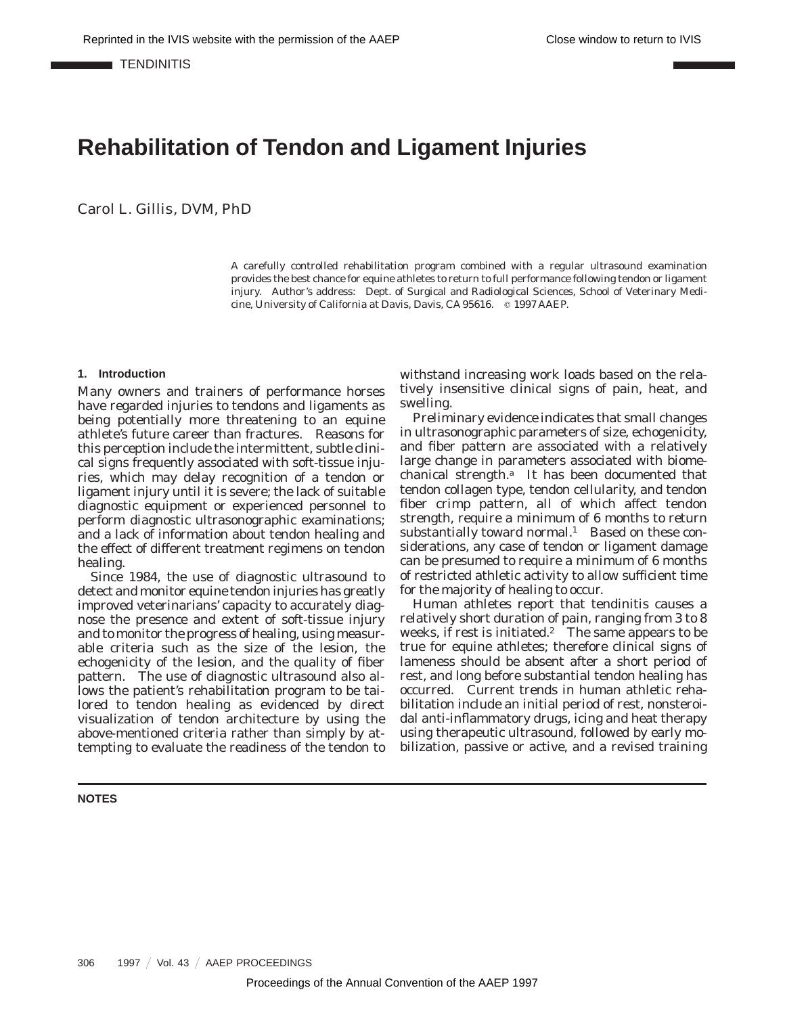**TENDINITIS** 

# **Rehabilitation of Tendon and Ligament Injuries**

Carol L. Gillis, DVM, PhD

A carefully controlled rehabilitation program combined with a regular ultrasound examination provides the best chance for equine athletes to return to full performance following tendon or ligament injury. Author's address: Dept. of Surgical and Radiological Sciences, School of Veterinary Medicine, University of California at Davis, Davis, CA 95616. @ 1997 AAEP.

#### **1. Introduction**

Many owners and trainers of performance horses have regarded injuries to tendons and ligaments as being potentially more threatening to an equine athlete's future career than fractures. Reasons for this perception include the intermittent, subtle clinical signs frequently associated with soft-tissue injuries, which may delay recognition of a tendon or ligament injury until it is severe; the lack of suitable diagnostic equipment or experienced personnel to perform diagnostic ultrasonographic examinations; and a lack of information about tendon healing and the effect of different treatment regimens on tendon healing.

Since 1984, the use of diagnostic ultrasound to detect and monitor equine tendon injuries has greatly improved veterinarians' capacity to accurately diagnose the presence and extent of soft-tissue injury and to monitor the progress of healing, using measurable criteria such as the size of the lesion, the echogenicity of the lesion, and the quality of fiber pattern. The use of diagnostic ultrasound also allows the patient's rehabilitation program to be tailored to tendon healing as evidenced by direct visualization of tendon architecture by using the above-mentioned criteria rather than simply by attempting to evaluate the readiness of the tendon to

**NOTES**

withstand increasing work loads based on the relatively insensitive clinical signs of pain, heat, and swelling.

Preliminary evidence indicates that small changes in ultrasonographic parameters of size, echogenicity, and fiber pattern are associated with a relatively large change in parameters associated with biomechanical strength. $a$  It has been documented that tendon collagen type, tendon cellularity, and tendon fiber crimp pattern, all of which affect tendon strength, require a minimum of 6 months to return substantially toward normal.<sup>1</sup> Based on these considerations, any case of tendon or ligament damage can be presumed to require a minimum of 6 months of restricted athletic activity to allow sufficient time for the majority of healing to occur.

Human athletes report that tendinitis causes a relatively short duration of pain, ranging from 3 to 8 weeks, if rest is initiated.<sup>2</sup> The same appears to be true for equine athletes; therefore clinical signs of lameness should be absent after a short period of rest, and long before substantial tendon healing has occurred. Current trends in human athletic rehabilitation include an initial period of rest, nonsteroidal anti-inflammatory drugs, icing and heat therapy using therapeutic ultrasound, followed by early mobilization, passive or active, and a revised training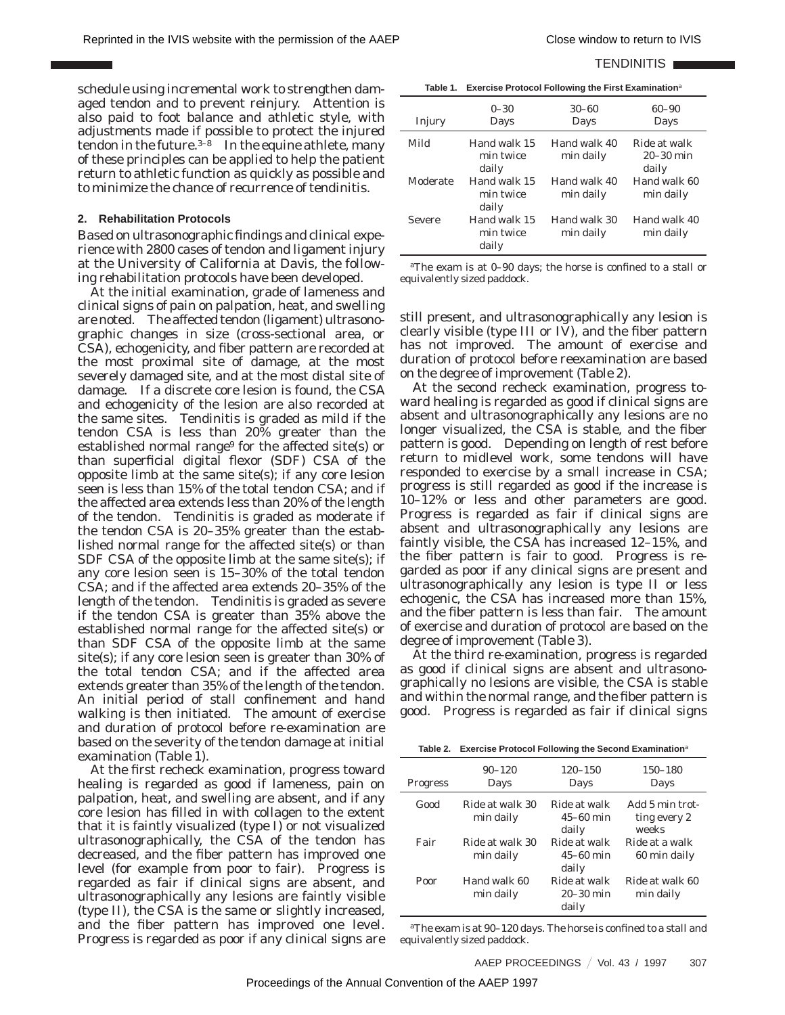#### TENDINITIS **NO**

schedule using incremental work to strengthen damaged tendon and to prevent reinjury. Attention is also paid to foot balance and athletic style, with adjustments made if possible to protect the injured tendon in the future. $3-8$  In the equine athlete, many of these principles can be applied to help the patient return to athletic function as quickly as possible and to minimize the chance of recurrence of tendinitis.

## **2. Rehabilitation Protocols**

Based on ultrasonographic findings and clinical experience with 2800 cases of tendon and ligament injury at the University of California at Davis, the following rehabilitation protocols have been developed.

At the initial examination, grade of lameness and clinical signs of pain on palpation, heat, and swelling are noted. The affected tendon (ligament) ultrasonographic changes in size (cross-sectional area, or CSA), echogenicity, and fiber pattern are recorded at the most proximal site of damage, at the most severely damaged site, and at the most distal site of damage. If a discrete core lesion is found, the CSA and echogenicity of the lesion are also recorded at Tendinitis is graded as mild if the tendon CSA is less than 20% greater than the established normal range<sup>9</sup> for the affected site(s) or than superficial digital flexor (SDF) CSA of the opposite limb at the same site(s); if any core lesion seen is less than 15% of the total tendon CSA; and if the affected area extends less than 20% of the length of the tendon. Tendinitis is graded as moderate if the tendon CSA is 20–35% greater than the established normal range for the affected site(s) or than SDF CSA of the opposite limb at the same site(s); if any core lesion seen is 15–30% of the total tendon CSA; and if the affected area extends 20–35% of the length of the tendon. Tendinitis is graded as severe if the tendon CSA is greater than 35% above the established normal range for the affected site(s) or than SDF CSA of the opposite limb at the same site(s); if any core lesion seen is greater than 30% of the total tendon CSA; and if the affected area extends greater than 35% of the length of the tendon. An initial period of stall confinement and hand walking is then initiated. The amount of exercise and duration of protocol before re-examination are based on the severity of the tendon damage at initial examination (Table 1).

At the first recheck examination, progress toward healing is regarded as good if lameness, pain on palpation, heat, and swelling are absent, and if any core lesion has filled in with collagen to the extent that it is faintly visualized (type I) or not visualized ultrasonographically, the CSA of the tendon has decreased, and the fiber pattern has improved one level (for example from poor to fair). Progress is regarded as fair if clinical signs are absent, and ultrasonographically any lesions are faintly visible (type II), the CSA is the same or slightly increased, and the fiber pattern has improved one level. Progress is regarded as poor if any clinical signs are

| Injury        | $0 - 30$<br>Days                   | $30 - 60$<br>Days         | $60 - 90$<br>Days                    |
|---------------|------------------------------------|---------------------------|--------------------------------------|
| Mild          | Hand walk 15<br>min twice<br>daily | Hand walk 40<br>min daily | Ride at walk<br>$20-30$ min<br>daily |
| Moderate      | Hand walk 15<br>min twice<br>daily | Hand walk 40<br>min daily | Hand walk 60<br>min daily            |
| <b>Severe</b> | Hand walk 15<br>min twice<br>daily | Hand walk 30<br>min daily | Hand walk 40<br>min daily            |

*<sup>a</sup>*The exam is at 0–90 days; the horse is confined to a stall or equivalently sized paddock.

still present, and ultrasonographically any lesion is clearly visible (type III or IV), and the fiber pattern has not improved. The amount of exercise and duration of protocol before reexamination are based on the degree of improvement (Table 2).

At the second recheck examination, progress toward healing is regarded as good if clinical signs are absent and ultrasonographically any lesions are no longer visualized, the CSA is stable, and the fiber pattern is good. Depending on length of rest before return to midlevel work, some tendons will have responded to exercise by a small increase in CSA; progress is still regarded as good if the increase is 10–12% or less and other parameters are good. Progress is regarded as fair if clinical signs are absent and ultrasonographically any lesions are faintly visible, the CSA has increased 12–15%, and the fiber pattern is fair to good. Progress is regarded as poor if any clinical signs are present and ultrasonographically any lesion is type II or less echogenic, the CSA has increased more than 15%, and the fiber pattern is less than fair. The amount of exercise and duration of protocol are based on the degree of improvement (Table 3).

At the third re-examination, progress is regarded as good if clinical signs are absent and ultrasonographically no lesions are visible, the CSA is stable and within the normal range, and the fiber pattern is good. Progress is regarded as fair if clinical signs

|  | Table 2. Exercise Protocol Following the Second Examination <sup>a</sup> |
|--|--------------------------------------------------------------------------|
|--|--------------------------------------------------------------------------|

| <b>Progress</b> | $90 - 120$<br>Days           | $120 - 150$<br>Days                    | 150-180<br>Days                          |
|-----------------|------------------------------|----------------------------------------|------------------------------------------|
| Good            | Ride at walk 30<br>min daily | Ride at walk<br>$45-60$ min<br>daily   | Add 5 min trot-<br>ting every 2<br>weeks |
| Fair            | Ride at walk 30<br>min daily | Ride at walk<br>$45 - 60$ min<br>daily | Ride at a walk<br>60 min daily           |
| Poor            | Hand walk 60<br>min daily    | Ride at walk<br>$20-30$ min<br>daily   | Ride at walk 60<br>min daily             |

*<sup>a</sup>*The exam is at 90–120 days. The horse is confined to a stall and equivalently sized paddock.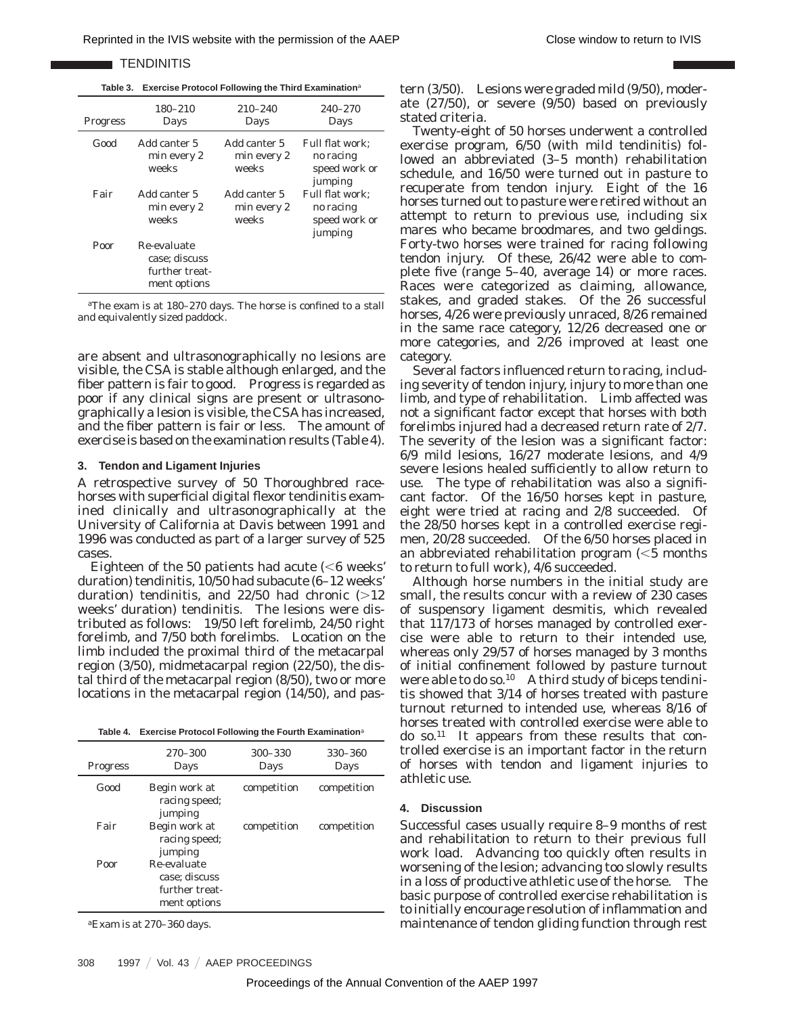**TENDINITIS** 

**Table 3. Exercise Protocol Following the Third Examination***<sup>a</sup>*

| <b>Progress</b> | $180 - 210$<br>Days                                            | $210 - 240$<br>Days                  | $240 - 270$<br>Days                                      |
|-----------------|----------------------------------------------------------------|--------------------------------------|----------------------------------------------------------|
| Good            | Add canter 5<br>min every 2<br>weeks                           | Add canter 5<br>min every 2<br>weeks | Full flat work:<br>no racing<br>speed work or<br>jumping |
| Fair            | Add canter 5<br>min every 2<br>weeks                           | Add canter 5<br>min every 2<br>weeks | Full flat work:<br>no racing<br>speed work or<br>jumping |
| Poor            | Re-evaluate<br>case; discuss<br>further treat-<br>ment options |                                      |                                                          |

*<sup>a</sup>*The exam is at 180–270 days. The horse is confined to a stall and equivalently sized paddock.

are absent and ultrasonographically no lesions are visible, the CSA is stable although enlarged, and the fiber pattern is fair to good. Progress is regarded as poor if any clinical signs are present or ultrasonographically a lesion is visible, the CSA has increased, and the fiber pattern is fair or less. The amount of exercise is based on the examination results (Table 4).

#### **3. Tendon and Ligament Injuries**

A retrospective survey of 50 Thoroughbred racehorses with superficial digital flexor tendinitis examined clinically and ultrasonographically at the University of California at Davis between 1991 and 1996 was conducted as part of a larger survey of 525 cases.

Eighteen of the 50 patients had acute  $\leq 6$  weeks' duration) tendinitis, 10/50 had subacute (6–12 weeks' duration) tendinitis, and  $22/50$  had chronic  $(>12)$ weeks' duration) tendinitis. The lesions were distributed as follows: 19/50 left forelimb, 24/50 right forelimb, and 7/50 both forelimbs. Location on the limb included the proximal third of the metacarpal region (3/50), midmetacarpal region (22/50), the distal third of the metacarpal region (8/50), two or more locations in the metacarpal region (14/50), and pas-

|  | Table 4. Exercise Protocol Following the Fourth Examination <sup>a</sup> |
|--|--------------------------------------------------------------------------|
|--|--------------------------------------------------------------------------|

| <b>Progress</b> | 270-300<br>Days                                                | $300 - 330$<br>Days | 330-360<br>Days |
|-----------------|----------------------------------------------------------------|---------------------|-----------------|
| Good            | Begin work at<br>racing speed;<br>jumping                      | competition         | competition     |
| Fair            | Begin work at<br>racing speed;<br>jumping                      | competition         | competition     |
| Poor            | Re-evaluate<br>case: discuss<br>further treat-<br>ment options |                     |                 |
|                 |                                                                |                     |                 |

*<sup>a</sup>*Exam is at 270–360 days.

tern (3/50). Lesions were graded mild (9/50), moderate (27/50), or severe (9/50) based on previously stated criteria.

Twenty-eight of 50 horses underwent a controlled exercise program, 6/50 (with mild tendinitis) followed an abbreviated (3–5 month) rehabilitation schedule, and 16/50 were turned out in pasture to recuperate from tendon injury. Eight of the 16 horses turned out to pasture were retired without an attempt to return to previous use, including six mares who became broodmares, and two geldings. Forty-two horses were trained for racing following tendon injury. Of these, 26/42 were able to complete five (range 5–40, average 14) or more races. Races were categorized as claiming, allowance, stakes, and graded stakes. Of the 26 successful horses, 4/26 were previously unraced, 8/26 remained in the same race category, 12/26 decreased one or more categories, and 2/26 improved at least one category.

Several factors influenced return to racing, including severity of tendon injury, injury to more than one limb, and type of rehabilitation. Limb affected was not a significant factor except that horses with both forelimbs injured had a decreased return rate of 2/7. The severity of the lesion was a significant factor: 6/9 mild lesions, 16/27 moderate lesions, and 4/9 severe lesions healed sufficiently to allow return to use. The type of rehabilitation was also a significant factor. Of the 16/50 horses kept in pasture, eight were tried at racing and 2/8 succeeded. Of the 28/50 horses kept in a controlled exercise regimen, 20/28 succeeded. Of the 6/50 horses placed in an abbreviated rehabilitation program  $\leq 5$  months to return to full work), 4/6 succeeded.

Although horse numbers in the initial study are small, the results concur with a review of 230 cases of suspensory ligament desmitis, which revealed that 117/173 of horses managed by controlled exercise were able to return to their intended use, whereas only 29/57 of horses managed by 3 months of initial confinement followed by pasture turnout were able to do so.<sup>10</sup> A third study of biceps tendinitis showed that 3/14 of horses treated with pasture turnout returned to intended use, whereas 8/16 of horses treated with controlled exercise were able to do so.11 It appears from these results that controlled exercise is an important factor in the return of horses with tendon and ligament injuries to athletic use.

#### **4. Discussion**

Successful cases usually require 8–9 months of rest and rehabilitation to return to their previous full work load. Advancing too quickly often results in worsening of the lesion; advancing too slowly results in a loss of productive athletic use of the horse. The basic purpose of controlled exercise rehabilitation is to initially encourage resolution of inflammation and maintenance of tendon gliding function through rest